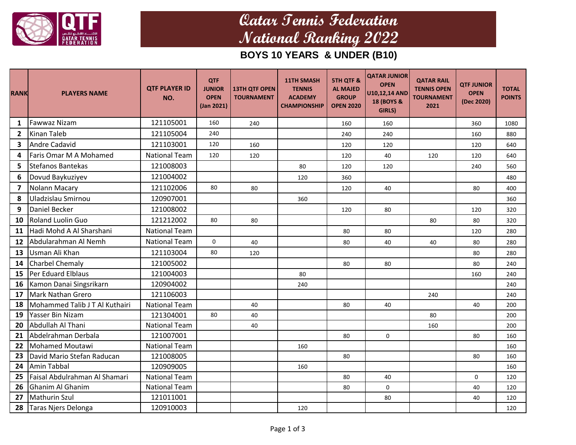

# **Qatar Tennis Federation National Ranking 2022**

## **BOYS 10 YEARS & UNDER (B10)**

| <b>RANK</b>             | <b>PLAYERS NAME</b>            | <b>QTF PLAYER ID</b><br>NO. | <b>QTF</b><br><b>JUNIOR</b><br><b>OPEN</b><br>(Jan 2021) | <b>13TH QTF OPEN</b><br><b>TOURNAMENT</b> | <b>11TH SMASH</b><br><b>TENNIS</b><br><b>ACADEMY</b><br><b>CHAMPIONSHIP</b> | <b>5TH QTF &amp;</b><br><b>AL MAJED</b><br><b>GROUP</b><br><b>OPEN 2020</b> | <b>QATAR JUNIOR</b><br><b>OPEN</b><br>U10,12,14 AND<br>18 (BOYS &<br>GIRLS) | <b>QATAR RAIL</b><br><b>TENNIS OPEN</b><br><b>TOURNAMENT</b><br>2021 | <b>QTF JUNIOR</b><br><b>OPEN</b><br>(Dec 2020) | <b>TOTAL</b><br><b>POINTS</b> |
|-------------------------|--------------------------------|-----------------------------|----------------------------------------------------------|-------------------------------------------|-----------------------------------------------------------------------------|-----------------------------------------------------------------------------|-----------------------------------------------------------------------------|----------------------------------------------------------------------|------------------------------------------------|-------------------------------|
| 1                       | <b>Fawwaz Nizam</b>            | 121105001                   | 160                                                      | 240                                       |                                                                             | 160                                                                         | 160                                                                         |                                                                      | 360                                            | 1080                          |
| $\overline{2}$          | <b>Kinan Taleb</b>             | 121105004                   | 240                                                      |                                           |                                                                             | 240                                                                         | 240                                                                         |                                                                      | 160                                            | 880                           |
| 3                       | <b>Andre Cadavid</b>           | 121103001                   | 120                                                      | 160                                       |                                                                             | 120                                                                         | 120                                                                         |                                                                      | 120                                            | 640                           |
| 4                       | Faris Omar M A Mohamed         | <b>National Team</b>        | 120                                                      | 120                                       |                                                                             | 120                                                                         | 40                                                                          | 120                                                                  | 120                                            | 640                           |
| 5                       | <b>Stefanos Bantekas</b>       | 121008003                   |                                                          |                                           | 80                                                                          | 120                                                                         | 120                                                                         |                                                                      | 240                                            | 560                           |
| 6                       | Dovud Baykuziyev               | 121004002                   |                                                          |                                           | 120                                                                         | 360                                                                         |                                                                             |                                                                      |                                                | 480                           |
| $\overline{\mathbf{z}}$ | Nolann Macary                  | 121102006                   | 80                                                       | 80                                        |                                                                             | 120                                                                         | 40                                                                          |                                                                      | 80                                             | 400                           |
| 8                       | Uladzislau Smirnou             | 120907001                   |                                                          |                                           | 360                                                                         |                                                                             |                                                                             |                                                                      |                                                | 360                           |
| 9                       | Daniel Becker                  | 121008002                   |                                                          |                                           |                                                                             | 120                                                                         | 80                                                                          |                                                                      | 120                                            | 320                           |
| 10                      | <b>Roland Luolin Guo</b>       | 121212002                   | 80                                                       | 80                                        |                                                                             |                                                                             |                                                                             | 80                                                                   | 80                                             | 320                           |
| 11                      | Hadi Mohd A Al Sharshani       | <b>National Team</b>        |                                                          |                                           |                                                                             | 80                                                                          | 80                                                                          |                                                                      | 120                                            | 280                           |
| 12                      | Abdularahman Al Nemh           | <b>National Team</b>        | $\Omega$                                                 | 40                                        |                                                                             | 80                                                                          | 40                                                                          | 40                                                                   | 80                                             | 280                           |
| 13                      | Usman Ali Khan                 | 121103004                   | 80                                                       | 120                                       |                                                                             |                                                                             |                                                                             |                                                                      | 80                                             | 280                           |
| 14                      | <b>Charbel Chemaly</b>         | 121005002                   |                                                          |                                           |                                                                             | 80                                                                          | 80                                                                          |                                                                      | 80                                             | 240                           |
| 15                      | Per Eduard Elblaus             | 121004003                   |                                                          |                                           | 80                                                                          |                                                                             |                                                                             |                                                                      | 160                                            | 240                           |
| 16                      | Kamon Danai Singsrikarn        | 120904002                   |                                                          |                                           | 240                                                                         |                                                                             |                                                                             |                                                                      |                                                | 240                           |
| 17                      | <b>Mark Nathan Grero</b>       | 121106003                   |                                                          |                                           |                                                                             |                                                                             |                                                                             | 240                                                                  |                                                | 240                           |
| 18                      | Mohammed Talib J T Al Kuthairi | <b>National Team</b>        |                                                          | 40                                        |                                                                             | 80                                                                          | 40                                                                          |                                                                      | 40                                             | 200                           |
| 19                      | Yasser Bin Nizam               | 121304001                   | 80                                                       | 40                                        |                                                                             |                                                                             |                                                                             | 80                                                                   |                                                | 200                           |
| 20                      | Abdullah Al Thani              | <b>National Team</b>        |                                                          | 40                                        |                                                                             |                                                                             |                                                                             | 160                                                                  |                                                | 200                           |
| 21                      | Abdelrahman Derbala            | 121007001                   |                                                          |                                           |                                                                             | 80                                                                          | $\Omega$                                                                    |                                                                      | 80                                             | 160                           |
| 22                      | Mohamed Moutawi                | <b>National Team</b>        |                                                          |                                           | 160                                                                         |                                                                             |                                                                             |                                                                      |                                                | 160                           |
| 23                      | David Mario Stefan Raducan     | 121008005                   |                                                          |                                           |                                                                             | 80                                                                          |                                                                             |                                                                      | 80                                             | 160                           |
| 24                      | <b>Amin Tabbal</b>             | 120909005                   |                                                          |                                           | 160                                                                         |                                                                             |                                                                             |                                                                      |                                                | 160                           |
| 25                      | Faisal Abdulrahman Al Shamari  | <b>National Team</b>        |                                                          |                                           |                                                                             | 80                                                                          | 40                                                                          |                                                                      | $\Omega$                                       | 120                           |
| 26                      | <b>Ghanim Al Ghanim</b>        | <b>National Team</b>        |                                                          |                                           |                                                                             | 80                                                                          | 0                                                                           |                                                                      | 40                                             | 120                           |
| 27                      | <b>Mathurin Szul</b>           | 121011001                   |                                                          |                                           |                                                                             |                                                                             | 80                                                                          |                                                                      | 40                                             | 120                           |
| 28                      | Taras Njers Delonga            | 120910003                   |                                                          |                                           | 120                                                                         |                                                                             |                                                                             |                                                                      |                                                | 120                           |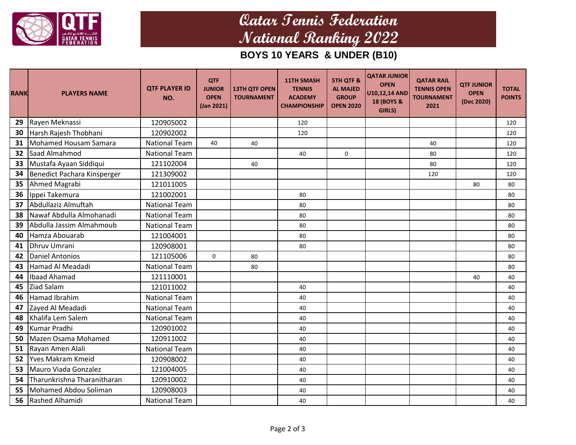

# **Qatar Tennis Federation National Ranking 2022**

### **BOYS 10 YEARS & UNDER (B10)**

| <b>RANK</b> | <b>PLAYERS NAME</b>         | <b>QTF PLAYER ID</b><br>NO. | <b>QTF</b><br><b>JUNIOR</b><br><b>OPEN</b><br>(Jan 2021) | <b>13TH QTF OPEN</b><br><b>TOURNAMENT</b> | <b>11TH SMASH</b><br><b>TENNIS</b><br><b>ACADEMY</b><br><b>CHAMPIONSHIP</b> | <b>5TH QTF &amp;</b><br><b>AL MAJED</b><br><b>GROUP</b><br><b>OPEN 2020</b> | <b>QATAR JUNIOR</b><br><b>OPEN</b><br>U10,12,14 AND<br>18 (BOYS &<br>GIRLS) | <b>QATAR RAIL</b><br><b>TENNIS OPEN</b><br><b>TOURNAMENT</b><br>2021 | <b>QTF JUNIOR</b><br><b>OPEN</b><br>(Dec 2020) | <b>TOTAL</b><br><b>POINTS</b> |
|-------------|-----------------------------|-----------------------------|----------------------------------------------------------|-------------------------------------------|-----------------------------------------------------------------------------|-----------------------------------------------------------------------------|-----------------------------------------------------------------------------|----------------------------------------------------------------------|------------------------------------------------|-------------------------------|
| 29          | Rayen Meknassi              | 120905002                   |                                                          |                                           | 120                                                                         |                                                                             |                                                                             |                                                                      |                                                | 120                           |
| 30          | Harsh Rajesh Thobhani       | 120902002                   |                                                          |                                           | 120                                                                         |                                                                             |                                                                             |                                                                      |                                                | 120                           |
| 31          | Mohamed Housam Samara       | <b>National Team</b>        | 40                                                       | 40                                        |                                                                             |                                                                             |                                                                             | 40                                                                   |                                                | 120                           |
| 32          | Saad Almahmod               | <b>National Team</b>        |                                                          |                                           | 40                                                                          | 0                                                                           |                                                                             | 80                                                                   |                                                | 120                           |
| 33          | Mustafa Ayaan Siddiqui      | 121102004                   |                                                          | 40                                        |                                                                             |                                                                             |                                                                             | 80                                                                   |                                                | 120                           |
| 34          | Benedict Pachara Kinsperger | 121309002                   |                                                          |                                           |                                                                             |                                                                             |                                                                             | 120                                                                  |                                                | 120                           |
| 35          | Ahmed Magrabi               | 121011005                   |                                                          |                                           |                                                                             |                                                                             |                                                                             |                                                                      | 80                                             | 80                            |
| 36          | Ippei Takemura              | 121002001                   |                                                          |                                           | 80                                                                          |                                                                             |                                                                             |                                                                      |                                                | 80                            |
| 37          | Abdullaziz Almuftah         | <b>National Team</b>        |                                                          |                                           | 80                                                                          |                                                                             |                                                                             |                                                                      |                                                | 80                            |
| 38          | Nawaf Abdulla Almohanadi    | <b>National Team</b>        |                                                          |                                           | 80                                                                          |                                                                             |                                                                             |                                                                      |                                                | 80                            |
| 39          | Abdulla Jassim Almahmoub    | <b>National Team</b>        |                                                          |                                           | 80                                                                          |                                                                             |                                                                             |                                                                      |                                                | 80                            |
| 40          | Hamza Abouarab              | 121004001                   |                                                          |                                           | 80                                                                          |                                                                             |                                                                             |                                                                      |                                                | 80                            |
| 41          | Dhruv Umrani                | 120908001                   |                                                          |                                           | 80                                                                          |                                                                             |                                                                             |                                                                      |                                                | 80                            |
| 42          | <b>Daniel Antonios</b>      | 121105006                   | 0                                                        | 80                                        |                                                                             |                                                                             |                                                                             |                                                                      |                                                | 80                            |
| 43          | Hamad Al Meadadi            | <b>National Team</b>        |                                                          | 80                                        |                                                                             |                                                                             |                                                                             |                                                                      |                                                | 80                            |
| 44          | Ibaad Ahamad                | 121110001                   |                                                          |                                           |                                                                             |                                                                             |                                                                             |                                                                      | 40                                             | 40                            |
| 45          | Ziad Salam                  | 121011002                   |                                                          |                                           | 40                                                                          |                                                                             |                                                                             |                                                                      |                                                | 40                            |
| 46          | Hamad Ibrahim               | <b>National Team</b>        |                                                          |                                           | 40                                                                          |                                                                             |                                                                             |                                                                      |                                                | 40                            |
| 47          | Zayed Al Meadadi            | <b>National Team</b>        |                                                          |                                           | 40                                                                          |                                                                             |                                                                             |                                                                      |                                                | 40                            |
| 48          | Khalifa Lem Salem           | <b>National Team</b>        |                                                          |                                           | 40                                                                          |                                                                             |                                                                             |                                                                      |                                                | 40                            |
| 49          | Kumar Pradhi                | 120901002                   |                                                          |                                           | 40                                                                          |                                                                             |                                                                             |                                                                      |                                                | 40                            |
| 50          | Mazen Osama Mohamed         | 120911002                   |                                                          |                                           | 40                                                                          |                                                                             |                                                                             |                                                                      |                                                | 40                            |
| 51          | Rayan Amen Alali            | <b>National Team</b>        |                                                          |                                           | 40                                                                          |                                                                             |                                                                             |                                                                      |                                                | 40                            |
| 52          | lYves Makram Kmeid          | 120908002                   |                                                          |                                           | 40                                                                          |                                                                             |                                                                             |                                                                      |                                                | 40                            |
| 53          | Mauro Viada Gonzalez        | 121004005                   |                                                          |                                           | 40                                                                          |                                                                             |                                                                             |                                                                      |                                                | 40                            |
| 54          | Tharunkrishna Tharanitharan | 120910002                   |                                                          |                                           | 40                                                                          |                                                                             |                                                                             |                                                                      |                                                | 40                            |
| 55          | Mohamed Abdou Soliman       | 120908003                   |                                                          |                                           | 40                                                                          |                                                                             |                                                                             |                                                                      |                                                | 40                            |
| 56          | Rashed Alhamidi             | <b>National Team</b>        |                                                          |                                           | 40                                                                          |                                                                             |                                                                             |                                                                      |                                                | 40                            |